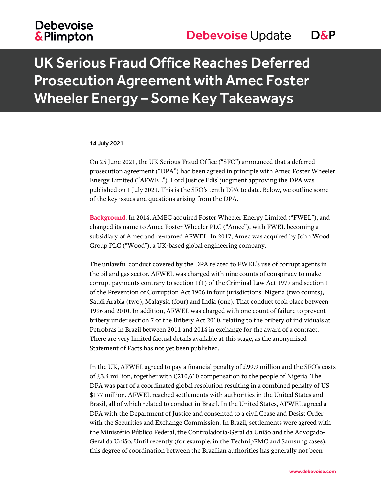## **Debevoise &Plimpton**

## UK Serious Fraud Office Reaches Deferred Prosecution Agreement with Amec Foster Wheeler Energy – Some Key Takeaways

#### 14 July 2021

On 25 June 2021, the UK Serious Fraud Office ("SFO") announced that a deferred prosecution agreement ("DPA") had been agreed in principle with Amec Foster Wheeler Energy Limited ("AFWEL"). Lord Justice Edis' judgment approving the DPA was published on 1 July 2021. This is the SFO's tenth DPA to date. Below, we outline some of the key issues and questions arising from the DPA.

**Background**. In 2014, AMEC acquired Foster Wheeler Energy Limited ("FWEL"), and changed its name to Amec Foster Wheeler PLC ("Amec"), with FWEL becoming a subsidiary of Amec and re-named AFWEL. In 2017, Amec was acquired by John Wood Group PLC ("Wood"), a UK-based global engineering company.

The unlawful conduct covered by the DPA related to FWEL's use of corrupt agents in the oil and gas sector. AFWEL was charged with nine counts of conspiracy to make corrupt payments contrary to section 1(1) of the Criminal Law Act 1977 and section 1 of the Prevention of Corruption Act 1906 in four jurisdictions: Nigeria (two counts), Saudi Arabia (two), Malaysia (four) and India (one). That conduct took place between 1996 and 2010. In addition, AFWEL was charged with one count of failure to prevent bribery under section 7 of the Bribery Act 2010, relating to the bribery of individuals at Petrobras in Brazil between 2011 and 2014 in exchange for the award of a contract. There are very limited factual details available at this stage, as the anonymised Statement of Facts has not yet been published.

In the UK, AFWEL agreed to pay a financial penalty of £99.9 million and the SFO's costs of £3.4 million, together with £210,610 compensation to the people of Nigeria. The DPA was part of a coordinated global resolution resulting in a combined penalty of US \$177 million. AFWEL reached settlements with authorities in the United States and Brazil, all of which related to conduct in Brazil. In the United States, AFWEL agreed a DPA with the Department of Justice and consented to a civil Cease and Desist Order with the Securities and Exchange Commission. In Brazil, settlements were agreed with the Ministério Público Federal, the Controladoria-Geral da União and the Advogado-Geral da União. Until recently (for example, in the TechnipFMC and Samsung cases), this degree of coordination between the Brazilian authorities has generally not been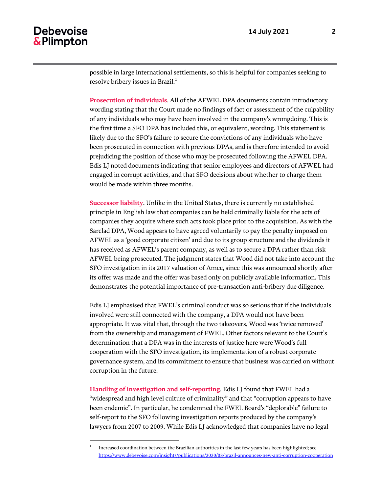$\overline{a}$ 

possible in large international settlements, so this is helpful for companies seeking to resolve bribery issues in Brazil. $<sup>1</sup>$ </sup>

**Prosecution of individuals**. All of the AFWEL DPA documents contain introductory wording stating that the Court made no findings of fact or assessment of the culpability of any individuals who may have been involved in the company's wrongdoing. This is the first time a SFO DPA has included this, or equivalent, wording. This statement is likely due to the SFO's failure to secure the convictions of any individuals who have been prosecuted in connection with previous DPAs, and is therefore intended to avoid prejudicing the position of those who may be prosecuted following the AFWEL DPA. Edis LJ noted documents indicating that senior employees and directors of AFWEL had engaged in corrupt activities, and that SFO decisions about whether to charge them would be made within three months.

**Successor liability**. Unlike in the United States, there is currently no established principle in English law that companies can be held criminally liable for the acts of companies they acquire where such acts took place prior to the acquisition. As with the Sarclad DPA, Wood appears to have agreed voluntarily to pay the penalty imposed on AFWEL as a 'good corporate citizen' and due to its group structure and the dividends it has received as AFWEL's parent company, as well as to secure a DPA rather than risk AFWEL being prosecuted. The judgment states that Wood did not take into account the SFO investigation in its 2017 valuation of Amec, since this was announced shortly after its offer was made and the offer was based only on publicly available information. This demonstrates the potential importance of pre-transaction anti-bribery due diligence.

Edis LJ emphasised that FWEL's criminal conduct was so serious that if the individuals involved were still connected with the company, a DPA would not have been appropriate. It was vital that, through the two takeovers, Wood was 'twice removed' from the ownership and management of FWEL. Other factors relevant to the Court's determination that a DPA was in the interests of justice here were Wood's full cooperation with the SFO investigation, its implementation of a robust corporate governance system, and its commitment to ensure that business was carried on without corruption in the future.

**Handling of investigation and self-reporting**. Edis LJ found that FWEL had a "widespread and high level culture of criminality" and that "corruption appears to have been endemic". In particular, he condemned the FWEL Board's "deplorable" failure to self-report to the SFO following investigation reports produced by the company's lawyers from 2007 to 2009. While Edis LJ acknowledged that companies have no legal

<sup>1</sup> Increased coordination between the Brazilian authorities in the last few years has been highlighted; see <https://www.debevoise.com/insights/publications/2020/08/brazil-announces-new-anti-corruption-cooperation>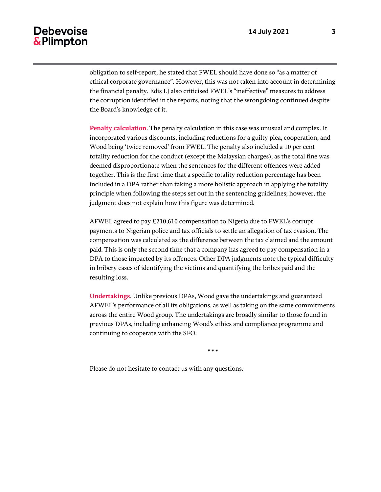### **Debevoise** & Plimpton

obligation to self-report, he stated that FWEL should have done so "as a matter of ethical corporate governance". However, this was not taken into account in determining the financial penalty. Edis LJ also criticised FWEL's "ineffective" measures to address the corruption identified in the reports, noting that the wrongdoing continued despite the Board's knowledge of it.

**Penalty calculation**. The penalty calculation in this case was unusual and complex. It incorporated various discounts, including reductions for a guilty plea, cooperation, and Wood being 'twice removed' from FWEL. The penalty also included a 10 per cent totality reduction for the conduct (except the Malaysian charges), as the total fine was deemed disproportionate when the sentences for the different offences were added together. This is the first time that a specific totality reduction percentage has been included in a DPA rather than taking a more holistic approach in applying the totality principle when following the steps set out in the sentencing guidelines; however, the judgment does not explain how this figure was determined.

AFWEL agreed to pay £210,610 compensation to Nigeria due to FWEL's corrupt payments to Nigerian police and tax officials to settle an allegation of tax evasion. The compensation was calculated as the difference between the tax claimed and the amount paid. This is only the second time that a company has agreed to pay compensation in a DPA to those impacted by its offences. Other DPA judgments note the typical difficulty in bribery cases of identifying the victims and quantifying the bribes paid and the resulting loss.

**Undertakings**. Unlike previous DPAs, Wood gave the undertakings and guaranteed AFWEL's performance of all its obligations, as well as taking on the same commitments across the entire Wood group. The undertakings are broadly similar to those found in previous DPAs, including enhancing Wood's ethics and compliance programme and continuing to cooperate with the SFO.

\* \* \*

Please do not hesitate to contact us with any questions.